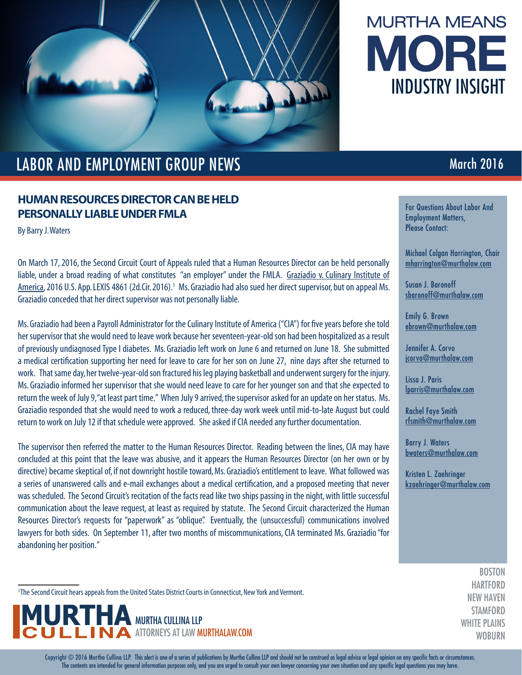

# **MURTHA MEANS** MORE INDUSTRY INSIGHT

## LABOR AND EMPLOYMENT GROUP NEWS **EXAMPLOYMENT COUPLA ENGINEERING** March 2016

### **HUMAN RESOURCES DIRECTOR CAN BE HELD PERSONALLY LIABLE UNDER FMLA**

By Barry J. Waters

On March 17, 2016, the Second Circuit Court of Appeals ruled that a Human Resources Director can be held personally liable, under a broad reading of what constitutes "an employer" under the FMLA. Graziadio v. Culinary Institute of America, 2016 U.S. App. LEXIS 4861 (2d.Cir. 2016).<sup>1</sup> Ms. Graziadio had also sued her direct supervisor, but on appeal Ms. Graziadio conceded that her direct supervisor was not personally liable.

Ms. Graziadio had been a Payroll Administrator for the Culinary Institute of America ("CIA") for five years before she told her supervisor that she would need to leave work because her seventeen-year-old son had been hospitalized as a result of previously undiagnosed Type I diabetes. Ms. Graziadio left work on June 6 and returned on June 18. She submitted a medical certification supporting her need for leave to care for her son on June 27, nine days after she returned to work. That same day, her twelve-year-old son fractured his leg playing basketball and underwent surgery for the injury. Ms. Graziadio informed her supervisor that she would need leave to care for her younger son and that she expected to return the week of July 9, "at least part time." When July 9 arrived, the supervisor asked for an update on her status. Ms. Graziadio responded that she would need to work a reduced, three-day work week until mid-to-late August but could return to work on July 12 if that schedule were approved. She asked if CIA needed any further documentation.

The supervisor then referred the matter to the Human Resources Director. Reading between the lines, CIA may have concluded at this point that the leave was abusive, and it appears the Human Resources Director (on her own or by directive) became skeptical of, if not downright hostile toward, Ms. Graziadio's entitlement to leave. What followed was a series of unanswered calls and e-mail exchanges about a medical certification, and a proposed meeting that never was scheduled. The Second Circuit's recitation of the facts read like two ships passing in the night, with little successful communication about the leave request, at least as required by statute. The Second Circuit characterized the Human Resources Director's requests for "paperwork" as "oblique". Eventually, the (unsuccessful) communications involved lawyers for both sides. On September 11, after two months of miscommunications, CIA terminated Ms. Graziadio "for abandoning her position."

<sup>1</sup>The Second Circuit hears appeals from the United States District Courts in Connecticut, New York and Vermont.



For Questions About Labor And Employment Matters, Please Contact:

Michael Colgan Harrington, Chair mharrington@murthalaw.com

Susan J. Baronoff sbaronoff@murthalaw.com

Emily G. Brown ebrown@murthalaw.com

Jennifer A. Corvo jcorvo@murthalaw.com

Lissa J. Paris lparris@murthalaw.com

Rachel Faye Smith rfsmith@murthalaw.com

Barry J. Waters bwaters@murthalaw.com

Kristen L. Zaehringer kzaehringer@murthalaw.com

> **BOSTON** HARTFORD NEW HAVEN **STAMFORD** WHITE PLAINS **WOBURN**

Copyright © 2016 Murtha Cullina LLP. This alert is one of a series of publications by Murtha Cullina LLP and should not be construed as legal advice or legal opinion on any specific facts or circumstances. The contents are intended for general information purposes only, and you are urged to consult your own lawyer concerning your own situation and any specific legal questions you may have.